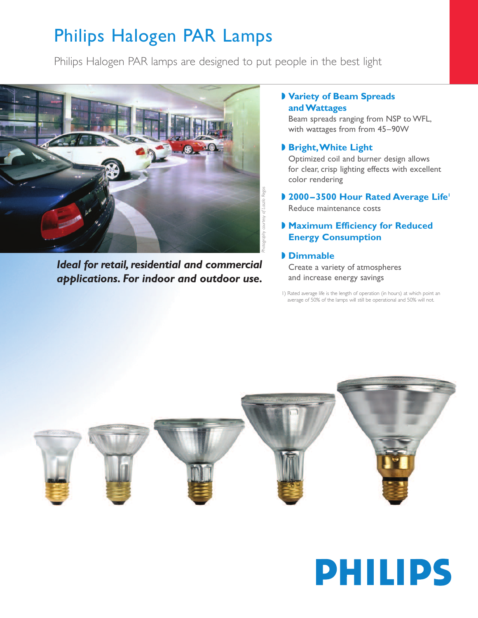## Philips Halogen PAR Lamps

Philips Halogen PAR lamps are designed to put people in the best light



*Ideal for retail, residential and commercial applications. For indoor and outdoor use.*

## **◗ Variety of Beam Spreads andWattages**

Beam spreads ranging from NSP to WFL, with wattages from from 45–90W

### **◗ Bright,White Light**

Optimized coil and burner design allows for clear, crisp lighting effects with excellent color rendering

**◗ 2000–3500 Hour Rated Average Life1** Reduce maintenance costs

### **◗ Maximum Efficiency for Reduced Energy Consumption**

### **◗ Dimmable**

Create a variety of atmospheres and increase energy savings

1) Rated average life is the length of operation (in hours) at which point an average of 50% of the lamps will still be operational and 50% will not.



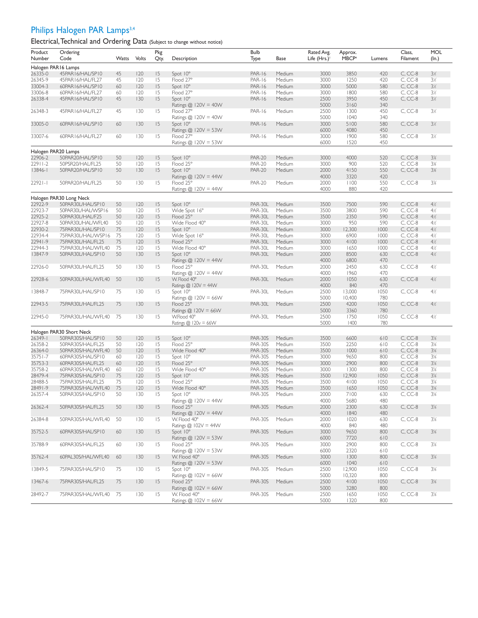## Philips Halogen PAR Lamps<sup>3,4</sup>

Electrical, Technical and Ordering Data (Subject to change without notice)

| Product     | Ordering                 |       |       | Pkg  |                            | <b>Bulb</b>    |             | Rated Avg.    | Approx.           |        | Class,    | MOL            |
|-------------|--------------------------|-------|-------|------|----------------------------|----------------|-------------|---------------|-------------------|--------|-----------|----------------|
| Number      | Code                     | Watts | Volts | Qty. | Description                | Type           | <b>Base</b> | Life $(Hrs.)$ | MBCP <sup>4</sup> | Lumens | Filament  | (ln.)          |
|             | Halogen PAR16 Lamps      |       |       |      |                            |                |             |               |                   |        |           |                |
| 26335-0     | 45PAR16/HAL/SP10         | 45    | 120   | 15   | Spot 10°                   | <b>PAR-16</b>  | Medium      | 3000          | 3850              | 420    | $C, CC-8$ | $3\frac{1}{5}$ |
| 26345-9     | 45PAR16/HAL/FL27         | 45    | 120   | 15   | Flood 27°                  | <b>PAR-16</b>  | Medium      | 3000          | 1250              | 420    | $C, CC-8$ | $3\%$          |
| 33004-3     | 60PAR16/HAL/SP10         | 60    | 120   | 15   | Spot $10^{\circ}$          | <b>PAR-16</b>  | Medium      | 3000          | 5000              | 580    | $C, CC-8$ | $3\%$          |
| 33006-8     | 60PAR16/HAL/FL27         | 60    | 120   | 15   | Flood 27°                  | <b>PAR-16</b>  | Medium      | 3000          | 1800              | 580    | $C, CC-8$ | $3\%$          |
| 26338-4     | 45PAR16/HAL/SP10         | 45    | 130   | 15   | Spot $10^{\circ}$          | <b>PAR-16</b>  | Medium      | 2500          | 3950              | 450    | $C, CC-8$ | 3 <sub>k</sub> |
|             |                          |       |       |      | Ratings $@$ 120V = 40W     |                |             | 5000          | 3160              | 340    |           |                |
|             |                          |       |       |      |                            |                |             |               |                   |        |           | $3\%$          |
| 26348-3     | 45PAR16/HAL/FL27         | 45    | 130   | 15   | Flood 27°                  | <b>PAR-16</b>  | Medium      | 2500          | 1300              | 450    | $C, CC-8$ |                |
|             |                          |       |       |      | Ratings $@$ 120V = 40W     |                |             | 5000          | 1040              | 340    |           |                |
| 33005-0     | 60PAR16/HAL/SP10         | 60    | 130   | 15   | Spot 10°                   | <b>PAR-16</b>  | Medium      | 3000          | 5100              | 580    | C. CC-8   | $3\%$          |
|             |                          |       |       |      | Ratings $@$ 120V = 53W     |                |             | 6000          | 4080              | 450    |           |                |
| 33007-6     | 60PAR16/HAL/FL27         | 60    | 130   | 15   | Flood 27°                  | <b>PAR-16</b>  | Medium      | 3000          | 1900              | 580    | $C, CC-8$ | $3\%$          |
|             |                          |       |       |      | Ratings $@$ 120V = 53W     |                |             | 6000          | 1520              | 450    |           |                |
|             | Halogen PAR20 Lamps      |       |       |      |                            |                |             |               |                   |        |           |                |
|             |                          |       | 120   |      |                            |                |             |               | 4000              |        |           | 3%             |
| 22906-2     | 50PAR20/HAL/SP10         | 50    |       | 15   | Spot $10^{\circ}$          | <b>PAR-20</b>  | Medium      | 3000          |                   | 520    | $C, CC-8$ |                |
| $22911 - 2$ | 50PSR20/HAL/FL25         | 50    | 120   | 15   | Flood 25°                  | <b>PAR-20</b>  | Medium      | 3000          | 900               | 520    | $C, CC-8$ | 3%             |
| $13846 - 1$ | 50PAR20/HAL/SP10         | 50    | 130   | 15   | Spot 10°                   | <b>PAR-20</b>  | Medium      | 2000          | 4150              | 550    | $C, CC-8$ | 3%             |
|             |                          |       |       |      | Ratings $@$ 120V = 44W     |                |             | 4000          | 3320              | 420    |           |                |
| $22921 - 1$ | 50PAR20/HAL/FL25         | 50    | 130   | 15   | Flood 25°                  | <b>PAR-20</b>  | Medium      | 2000          | 1100              | 550    | $C, CC-8$ | 3%             |
|             |                          |       |       |      | Ratings $@$ 120V = 44W     |                |             | 4000          | 880               | 420    |           |                |
|             | Halogen PAR30 Long Neck  |       |       |      |                            |                |             |               |                   |        |           |                |
|             |                          |       |       |      |                            |                |             |               |                   |        |           |                |
| 22922-9     | 50PAR30L/HAL/SP10        | 50    | 120   | 15   | Spot 10°                   | PAR-30L        | Medium      | 3500          | 7500              | 590    | $C, CC-8$ | $4\frac{1}{2}$ |
| 22923-7     | 50PAR30L/HAL/WSP16       | 50    | 120   | 15   | Wide Spot 16°              | PAR-30L        | Medium      | 3500          | 3800              | 590    | $C, CC-8$ | $4\frac{1}{2}$ |
| 22925-2     | 50PAR30L/HAL/F25         | 50    | 120   | 15   | Flood 25°                  | PAR-30L        | Medium      | 3500          | 2350              | 590    | $C, CC-8$ | $4\frac{1}{2}$ |
| 22927-8     | 50PAR30L/HAL/WFL40       | 50    | 120   | 15   | Wide Flood 40°             | PAR-30L        | Medium      | 3000          | 950               | 590    | $C, CC-8$ | 4%             |
| 22930-2     | 75PAR30L/HAL/SP10        | 75    | 120   | 15   | Spot 10°                   | PAR-30L        | Medium      | 3000          | 12,300            | 1000   | $C, CC-8$ | $4\frac{1}{2}$ |
| 22934-4     | 75PAR30L/HAL/WSP16       | 75    | 120   | 15   | Wide Spot 16°              | PAR-30L        | Medium      | 3000          | 6900              | 1000   | $C, CC-8$ | 4%             |
| 22941-9     | 75PAR30L/HAL/FL25        | 75    | 120   | 15   | Flood 25°                  | PAR-30L        | Medium      | 3000          | 4100              | 1000   | $C, CC-8$ | $4\frac{1}{2}$ |
| 22944-3     | 75PAR30L/HAL/WFL40       | 75    | 120   | 15   | Wide Flood 40°             | PAR-30L        | Medium      | 3000          | 1650              | 1000   | $C, CC-8$ | 4½             |
| 13847-9     | 50PAR30L/HAL/SP10        | 50    | 130   | 15   | Spot 10°                   | <b>PAR-30L</b> | Medium      | 2000          | 8500              | 630    | $C, CC-8$ | $4\frac{1}{2}$ |
|             |                          |       |       |      |                            |                |             |               |                   |        |           |                |
|             |                          |       |       |      | Ratings $@$ 120V = 44W     |                |             | 4000          | 6800              | 470    |           |                |
| 22926-0     | 50PAR30L/HAL/FL25        | 50    | 130   | 15   | Flood 25°                  | PAR-30L        | Medium      | 2000          | 2450              | 630    | $C, CC-8$ | $4\%$          |
|             |                          |       |       |      | Ratings $@$ 120V = 44W     |                |             | 4000          | 1960              | 470    |           |                |
| 22928-6     | 50PAR30L/HAL/WFL40       | 50    | 130   | 15   | W. Flood 40°               | PAR-30L        | Medium      | 2000          | 1050              | 630    | $C, CC-8$ | $4\frac{1}{2}$ |
|             |                          |       |       |      | Ratings $@$ 120V = 44W     |                |             | 4000          | 840               | 470    |           |                |
| 13848-7     | 75PAR30L/HAL/SP10        | 75    | 130   | 15   | Spot 10°                   | PAR-30L        | Medium      | 2500          | 13,000            | 1050   | $C, CC-8$ | $4\frac{1}{2}$ |
|             |                          |       |       |      | Ratings @ 120V = 66W       |                |             | 5000          | 10,400            | 780    |           |                |
| 22943-5     | 75PAR30L/HAL/FL25        | 75    | 130   | 15   | Flood 25°                  | <b>PAR-30L</b> | Medium      | 2500          | 4200              | 1050   | $C, CC-8$ | $4\frac{1}{2}$ |
|             |                          |       |       |      | Ratings $@$ 120V = 66W     |                |             | 5000          | 3360              | 780    |           |                |
| 22945-0     | 75PAR30L/HAL/WFL40       | 75    | 130   | 15   | W.Flood 40°                | PAR-30L        | Medium      | 2500          | 1750              | 1050   | $C, CC-8$ | $4\%$          |
|             |                          |       |       |      | Ratings $@$ 120 $v = 66$ W |                |             | 5000          | 1400              | 780    |           |                |
|             |                          |       |       |      |                            |                |             |               |                   |        |           |                |
|             | Halogen PAR30 Short Neck |       |       |      |                            |                |             |               |                   |        |           |                |
| 26349-1     | 50PAR30S/HAL/SP10        | 50    | 120   | 15   | Spot 10°                   | <b>PAR-30S</b> | Medium      | 3500          | 6600              | 610    | $C, CC-8$ | 3%             |
| 26358-2     | 50PAR30S/HAL/FL25        | 50    | 120   | 15   | Flood 25°                  | <b>PAR-30S</b> | Medium      | 3500          | 2250              | 610    | $C, CC-8$ | 3%             |
| 26364-0     | 50PAR30S/HAL/WFL40       | 50    | 120   | 15   | Wide Flood 40°             | <b>PAR-30S</b> | Medium      | 3500          | 1000              | 610    | $C, CC-8$ | 3%             |
| 35751-7     | 60PAR30S/HAL/SP10        | 60    | 120   | 15   | Spot 10°                   | <b>PAR-30S</b> | Medium      | 3000          | 9650              | 800    | $C, CC-8$ | 3%             |
| 35753-3     | 60PAR30S/HAL/FL25        | 60    | 120   | 15   | Flood 25°                  | <b>PAR-30S</b> | Medium      | 3000          | 2900              | 800    | $C, CC-8$ | 3%             |
|             |                          | 60    | 120   | 15   | Wide Flood 40°             |                |             |               |                   |        |           | 3%             |
| 35758-2     | 60PAR30S/HAL/WFL40       |       |       |      | Spot 10°                   | <b>PAR-30S</b> | Medium      | 3000          | 1300              | 800    | $C, CC-8$ |                |
| 28479-4     | 75PAR30S/HAL/SP10        | 75    | 120   | 15   |                            | <b>PAR-30S</b> | Medium      | 3500          | 12,900            | 1050   | $C, CC-8$ | 3%             |
| 28488-5     | 75PAR30S/HAL/FL25        | 75    | 120   | 15   | Flood 25°                  | <b>PAR-30S</b> | Medium      | 3500          | 4100              | 1050   | $C, CC-8$ | 3%             |
| 28491-9     | 75PAR30S/HAL/WFL40       | 75    | 120   | 15   | Wide Flood 40°             | <b>PAR-30S</b> | Medium      | 3500          | 1650              | 1050   | $C, CC-8$ | 3%             |
| 26357-4     | 50PAR30S/HAL/SP10        | 50    | 130   | 15   | Spot 10°                   | <b>PAR-30S</b> | Medium      | 2000          | 7100              | 630    | $C, CC-8$ | 3%             |
|             |                          |       |       |      | Ratings $@$ 120V = 44W     |                |             | 4000          | 5680              | 480    |           |                |
| 26362-4     | 50PAR30S/HAL/FL25        | 50    | 130   | 15   | Flood 25°                  | <b>PAR-30S</b> | Medium      | 2000          | 2300              | 630    | $C, CC-8$ | 3%             |
|             |                          |       |       |      | Ratings $@$ 120V = 44W     |                |             | 4000          | 1840              | 480    |           |                |
| 26384-8     | 50PAR30S/HAL/WFL40       | 50    | 130   | 15   | W. Flood 40°               | <b>PAR-30S</b> | Medium      | 2000          | 1020              | 630    | $C, CC-8$ | $3\%$          |
|             |                          |       |       |      | Ratings $@$ 102V = 44W     |                |             | 4000          | 840               | 480    |           |                |
| 35752-5     | 60PAR30S/HAL/SP10        | 60    | 130   | 15   | Spot $10^{\circ}$          | <b>PAR-30S</b> | Medium      | 3000          | 9650              | 800    | $C, CC-8$ | 3%             |
|             |                          |       |       |      |                            |                |             |               |                   |        |           |                |
|             |                          |       |       |      | Ratings $@$ 120V = 53W     |                |             | 6000          | 7720              | 610    |           |                |
| 35788-9     | 60PAR30S/HAL/FL25        | 60    | 130   | 15   | Flood 25°                  | <b>PAR-30S</b> | Medium      | 3000          | 2900              | 800    | $C, CC-8$ | 3%             |
|             |                          |       |       |      | Ratings $@$ 120V = 53W     |                |             | 6000          | 2320              | 610    |           |                |
| 35762-4     | 60PAL30S/HAL/WFL40       | 60    | 130   | 15   | W. Flood 40°               | <b>PAR-30S</b> | Medium      | 3000          | 1300              | 800    | $C, CC-8$ | 3%             |
|             |                          |       |       |      | Ratings $@$ 120V = 53W     |                |             | 6000          | 1040              | 610    |           |                |
| 13849-5     | 75PAR30S/HAL/SP10        | 75    | 130   | 15   | Spot $10^{\circ}$          | <b>PAR-30S</b> | Medium      | 2500          | 12,900            | 1050   | $C, CC-8$ | 3%             |
|             |                          |       |       |      | Ratings $@$ 102V = 66W     |                |             | 5000          | 10,320            | 800    |           |                |
| 13467-6     | 75PAR30S/HAL/FL25        | 75    | 130   | 15   | Flood 25°                  | <b>PAR-30S</b> | Medium      | 2500          | 4100              | 1050   | $C, CC-8$ | $3\%$          |
|             |                          |       |       |      | Ratings $@$ 102V = 66W     |                |             |               |                   |        |           |                |
|             |                          |       |       |      |                            |                |             | 5000          | 3280              | 800    |           |                |
| 28492-7     | 75PAR30S/HAL/WFL40 75    |       | 130   | 15   | W. Flood 40°               | <b>PAR-30S</b> | Medium      | 2500          | 1650              | 1050   | $C, CC-8$ | $3\%$          |
|             |                          |       |       |      | Ratings $@$ 102V = 66W     |                |             | 5000          | 1320              | 800    |           |                |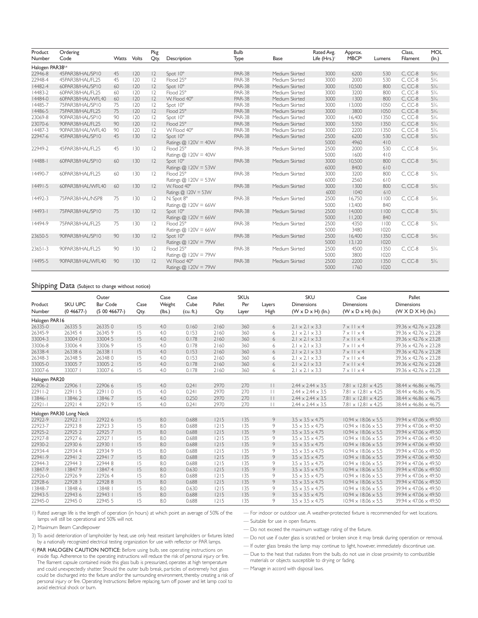| Product          | Ordering          |             |     | Pkg            |                        | <b>Bulb</b>   |                | Rated Avg.    | Approx.           |        | Class,    | MOL   |
|------------------|-------------------|-------------|-----|----------------|------------------------|---------------|----------------|---------------|-------------------|--------|-----------|-------|
| Number           | Code              | Watts Volts |     | Qty.           | Description            | Type          | <b>Base</b>    | Life $(Hrs.)$ | MBCP <sup>2</sup> | Lumens | Filament  | (ln.) |
| Halogen PAR383.4 |                   |             |     |                |                        |               |                |               |                   |        |           |       |
| 22946-8          | 45PAR38/HAL/SP10  | 45          | 120 | 2              | Spot 10°               | <b>PAR-38</b> | Medium Skirted | 3000          | 6200              | 530    | $C. CC-8$ | $5\%$ |
| 22948-4          | 45PAR38/HAL/FL25  | 45          | 120 | 2              | Flood 25°              | <b>PAR-38</b> | Medium Skirted | 3000          | 2000              | 530    | $C, CC-8$ | $5\%$ |
| 14482-4          | 60PAR38/HAL/SP10  | 60          | 120 | 2              | Spot 10°               | <b>PAR-38</b> | Medium Skirted | 3000          | 10,500            | 800    | $C, CC-8$ | 5%    |
| 14483-2          | 60PAR38/HAL/FL25  | 60          | 120 | $ 2\rangle$    | Flood 25°              | <b>PAR-38</b> | Medium Skirted | 3000          | 3200              | 800    | $C. CC-8$ | $5\%$ |
| 14484-0          | 60PAR38/HAL/WFL40 | 60          | 120 | 12             | W. Flood 40°           | <b>PAR-38</b> | Medium Skirted | 3000          | 1300              | 800    | $C. CC-8$ | $5\%$ |
| 14485-7          | 75PAR38/HAL/SP10  | 75          | 120 | $ 2\rangle$    | Spot 10°               | <b>PAR-38</b> | Medium Skirted | 3000          | 13,000            | 1050   | C.CC-8    | 5%    |
| 14486-5          | 75PAR38/HAL/FL25  | 75          | 120 | 12             | Flood 25°              | <b>PAR-38</b> | Medium Skirted | 3000          | 3800              | 1050   | C. CC-8   | $5\%$ |
| 23069-8          | 90PAR38/HAL/SP10  | 90          | 120 | $ 2\rangle$    | Spot 10°               | <b>PAR-38</b> | Medium Skirted | 3000          | 16,400            | 1350   | C. CC-8   | $5\%$ |
| 23070-6          | 90PAR38/HAL/FL25  | 90          | 120 | 2              | Flood 25°              | <b>PAR-38</b> | Medium Skirted | 3000          | 5350              | 1350   | $C, CC-8$ | $5\%$ |
| 14487-3          | 90PAR38/HAL/WFL40 | 90          | 120 | $ 2\rangle$    | W. Flood 40°           | <b>PAR-38</b> | Medium Skirted | 3000          | 2200              | 1350   | C. CC-8   | $5\%$ |
| 22947-6          | 45PAR38/HAL/SP10  | 45          | 130 | 2              | Spot 10°               | <b>PAR-38</b> | Medium Skirted | 2500          | 6200              | 530    | $C, CC-8$ | $5\%$ |
|                  |                   |             |     |                | Ratings $@$ 120V = 40W |               |                | 5000          | 4960              | 410    |           |       |
| 22949-2          | 45PAR38/HAL/FL25  | 45          | 130 | 12             | Flood 25°              | <b>PAR-38</b> | Medium Skirted | 2500          | 2000              | 530    | $C, CC-8$ | $5\%$ |
|                  |                   |             |     |                | Ratings $@$ 120V = 40W |               |                | 5000          | 1600              | 410    |           |       |
| 4488-1           | 60PAR38/HAL/SP10  | 60          | 130 | 12             | Spot 10°               | <b>PAR-38</b> | Medium Skirted | 3000          | 10,500            | 800    | $C, CC-8$ | $5\%$ |
|                  |                   |             |     |                | Ratings $@$ 120V = 53W |               |                | 6000          | 8400              | 610    |           |       |
| 14490-7          | 60PAR38/HAL/FL25  | 60          | 130 | 12             | Flood 25°              | <b>PAR-38</b> | Medium Skirted | 3000          | 3200              | 800    | $C, CC-8$ | $5\%$ |
|                  |                   |             |     |                | Ratings $@$ 120V = 53W |               |                | 6000          | 2560              | 610    |           |       |
| $ 449 -5$        | 60PAR38/HAL/WFL40 | 60          | 130 | 2              | W. Flood 40°           | <b>PAR-38</b> | Medium Skirted | 3000          | 1300              | 800    | $C, CC-8$ | $5\%$ |
|                  |                   |             |     |                | Ratings @ 120V = 53W   |               |                | 6000          | 1040              | 610    |           |       |
| 14492-3          | 75PAR38/HAL/NSP8  | 75          | 130 | 12             | N. Spot 8°             | <b>PAR-38</b> | Medium Skirted | 2500          | 16,750            | 1100   | $C, CC-8$ | 5%    |
|                  |                   |             |     |                | Ratings $@$ 120V = 66W |               |                | 5000          | 13,400            | 840    |           |       |
| $ 4493- $        | 75PAR38/HAL/SP10  | 75          | 130 | 2              | Spot 10°               | <b>PAR-38</b> | Medium Skirted | 2500          | 14,000            | 1100   | $C, CC-8$ | $5\%$ |
|                  |                   |             |     |                | Ratings $@$ 120V = 66W |               |                | 5000          | 11,200            | 840    |           |       |
| 14494-9          | 75PAR38/HAL/FL25  | 75          | 130 | $\overline{2}$ | Flood 25°              | <b>PAR-38</b> | Medium Skirted | 2500          | 4350              | 1100   | $C, CC-8$ | $5\%$ |
|                  |                   |             |     |                | Ratings $@$ 120V = 66W |               |                | 5000          | 3480              | 1020   |           |       |
| 23650-5          | 90PAR38/HAL/SP10  | 90          | 130 | 12             | Spot 10°               | <b>PAR-38</b> | Medium Skirted | 2500          | 16,400            | 1350   | $C, CC-8$ | $5\%$ |
|                  |                   |             |     |                | Ratings $@$ 120V = 79W |               |                | 5000          | 13,120            | 1020   |           |       |
| $23651 - 3$      | 90PAR38/HAL/FL25  | 90          | 130 | 12             | Flood 25°              | <b>PAR-38</b> | Medium Skirted | 2500          | 4500              | 1350   | $C, CC-8$ | 5%    |
|                  |                   |             |     |                | Ratings @ 120V = 79W   |               |                | 5000          | 3800              | 1020   |           |       |
| 14495-5          | 90PAR38/HAL/WFL40 | 90          | 130 | 2              | W. Flood 40°           | <b>PAR-38</b> | Medium Skirted | 2500          | 2200              | 1350   | $C, CC-8$ | $5\%$ |
|                  |                   |             |     |                | Ratings $@$ 120V = 79W |               |                | 5000          | 1760              | 1020   |           |       |

#### Shipping Data (Subject to change without notice)

|               |                         | Outer           |      | Case   | Case      |        | <b>SKUs</b> |              | <b>SKU</b>                    | Case                            | Pallet                            |
|---------------|-------------------------|-----------------|------|--------|-----------|--------|-------------|--------------|-------------------------------|---------------------------------|-----------------------------------|
| Product       | <b>SKU UPC</b>          | <b>Bar Code</b> | Case | Weight | Cube      | Pallet | Per         | Layers       | <b>Dimensions</b>             | <b>Dimensions</b>               | <b>Dimensions</b>                 |
| Number        | (0.46677)               | (50046677)      | Qty. | (lbs.) | (cu. ft.) | Qty.   | Layer       | High         | $(W \times D \times H)$ (ln.) | $(W \times D \times H)$ (ln.)   | (W X D X H) (ln.)                 |
| Halogen PAR16 |                         |                 |      |        |           |        |             |              |                               |                                 |                                   |
| 26335-0       | 26335 5                 | 263350          | 15   | 4.0    | 0.160     | 2160   | 360         | 6            | $2.1 \times 2.1 \times 3.3$   | $7 \times 11 \times 4$          | $39.36 \times 42.76 \times 23.28$ |
| 26345-9       | 263454                  | 26345 9         | 15   | 4.0    | 0.153     | 7160   | 360         | 6            | $2.1 \times 2.1 \times 3.3$   | $7 \times 11 \times 4$          | $39.36 \times 42.76 \times 23.28$ |
| 33004-3       | 330040                  | 33004 5         | 15   | 4.0    | 0.178     | 7160   | 360         | 6            | $2.1 \times 2.1 \times 3.3$   | $7 \times 11 \times 4$          | $39.36 \times 42.76 \times 23.28$ |
| 33006-8       | 330064                  | 330069          | 15   | 4.0    | 0.178     | 2160   | 360         | 6            | $2.1 \times 2.1 \times 3.3$   | $7 \times 11 \times 4$          | $39.36 \times 42.76 \times 23.28$ |
| 26338-4       | 26338 6                 | 26338           | 15   | 4.0    | 0.153     | 2160   | 360         | 6            | $2.1 \times 2.1 \times 3.3$   | $7 \times 11 \times 4$          | $39.36 \times 42.76 \times 23.28$ |
| 26348-3       | 26348 5                 | 263480          | 15   | 4.0    | 0.153     | 7160   | 360         | 6            | $2.1 \times 2.1 \times 3.3$   | $7 \times 11 \times 4$          | $39.36 \times 42.76 \times 23.28$ |
| 33005-0       | 330057                  | 33005 2         | 15   | 4.0    | 0.178     | 2160   | 360         | 6            | $2.1 \times 2.1 \times 3.3$   | $7 \times 11 \times 4$          | $39.36 \times 42.76 \times 23.28$ |
| 33007-6       | 33007                   | 330076          | 15   | 4.0    | 0.178     | 2160   | 360         | 6            | $2.1 \times 2.1 \times 3.3$   | $7 \times 11 \times 4$          | $39.36 \times 42.76 \times 23.28$ |
| Halogen PAR20 |                         |                 |      |        |           |        |             |              |                               |                                 |                                   |
| 22906-2       | 22906                   | 22906 6         | 15   | 4.0    | 0.241     | 2970   | 270         | $\mathbf{1}$ | $2.44 \times 2.44 \times 3.5$ | $7.81 \times 12.81 \times 4.25$ | $38.44 \times 46.86 \times 46.75$ |
| $22911 - 2$   | 229115                  | 229110          | 15   | 4.0    | 0.241     | 2970   | 270         | $\perp$      | $2.44 \times 2.44 \times 3.5$ | $7.81 \times 12.81 \times 4.25$ | $38.44 \times 46.86 \times 46.75$ |
| $13846 - 1$   | 138462                  | 138467          | 15   | 4.0    | 0.250     | 2970   | 270         | $\mathbf{1}$ | $2.44 \times 2.44 \times 3.5$ | $7.81 \times 12.81 \times 4.25$ | $38.44 \times 46.86 \times 46.75$ |
| $2292 -$      | 229214                  | 229219          | 15   | 4.0    | 0.241     | 2970   | 270         | П            | $2.44 \times 2.44 \times 3.5$ | $7.81 \times 12.81 \times 4.25$ | $38.44 \times 46.86 \times 46.75$ |
|               | Halogen PAR30 Long Neck |                 |      |        |           |        |             |              |                               |                                 |                                   |
| 22922-9       | 22922                   | 229226          | 15   | 8.0    | 0.688     | 1215   | 135         | 9            | $3.5 \times 3.5 \times 4.75$  | $10.94 \times 18.06 \times 5.5$ | $39.94 \times 47.06 \times 49.50$ |
| 22923-7       | 229238                  | 229233          | 15   | 8.0    | 0.688     | 1215   | 135         | 9            | $3.5 \times 3.5 \times 4.75$  | $10.94 \times 18.06 \times 5.5$ | $39.94 \times 47.06 \times 49.50$ |
| 22925-2       | 22925 2                 | 229257          | 15   | 8.0    | 0.688     | 1215   | 135         | 9            | $3.5 \times 3.5 \times 4.75$  | $10.94 \times 18.06 \times 5.5$ | $39.94 \times 47.06 \times 49.50$ |
| 22927-8       | 229276                  | 22927           | 15   | 8.0    | 0.688     | 1215   | 135         | 9            | $3.5 \times 3.5 \times 4.75$  | $10.94 \times 18.06 \times 5.5$ | $39.94 \times 47.06 \times 49.50$ |
| 22930-2       | 22930 6                 | 22930           | 15   | 8.0    | 0.688     | 1215   | 135         | 9            | $3.5 \times 3.5 \times 4.75$  | $10.94 \times 18.06 \times 5.5$ | $39.94 \times 47.06 \times 49.50$ |
| 22934-4       | 229344                  | 229349          | 15   | 8.0    | 0.688     | 1215   | 135         | 9            | $3.5 \times 3.5 \times 4.75$  | $10.94 \times 18.06 \times 5.5$ | $39.94 \times 47.06 \times 49.50$ |
| 22941-9       | 229412                  | 229417          | 15   | 8.0    | 0.688     | 1215   | 135         | 9            | $3.5 \times 3.5 \times 4.75$  | $10.94 \times 18.06 \times 5.5$ | $39.94 \times 47.06 \times 49.50$ |
| 22944-3       | 229443                  | 229448          | 15   | 8.0    | 0.688     | 1215   | 135         | 9            | $3.5 \times 3.5 \times 4.75$  | $10.94 \times 18.06 \times 5.5$ | $39.94 \times 47.06 \times 49.50$ |
| 13847-9       | 138479                  | 138474          | 15   | 8.0    | 0.630     | 1215   | 135         | 9            | $3.5 \times 3.5 \times 4.75$  | $10.94 \times 18.06 \times 5.5$ | $39.94 \times 47.06 \times 49.50$ |
| 22926-0       | 229269                  | 229264          | 15   | 8.0    | 0.688     | 1215   | 135         | 9            | $3.5 \times 3.5 \times 4.75$  | $10.94 \times 18.06 \times 5.5$ | $39.94 \times 47.06 \times 49.50$ |
| 22928-6       | 229283                  | 229288          | 15   | 8.0    | 0.688     | 1215   | 135         | 9            | $3.5 \times 3.5 \times 4.75$  | $10.94 \times 18.06 \times 5.5$ | $39.94 \times 47.06 \times 49.50$ |
| 13848-7       | 13848 6                 | 13848 1         | 15   | 8.0    | 0.630     | 1215   | 135         | 9            | $3.5 \times 3.5 \times 4.75$  | $10.94 \times 18.06 \times 5.5$ | 39.94 x 47.06 x 49.50             |
| 22943-5       | 229436                  | 22943           | 15   | 8.0    | 0.688     | 1215   | 135         | 9            | $3.5 \times 3.5 \times 4.75$  | $10.94 \times 18.06 \times 5.5$ | $39.94 \times 47.06 \times 49.50$ |
| 22945-0       | 229450                  | 22945 5         | 15   | 8.0    | 0.688     | 1215   | 135         | 9            | $3.5 \times 3.5 \times 4.75$  | $10.94 \times 18.06 \times 5.5$ | $39.94 \times 47.06 \times 49.50$ |

1) Rated average life is the length of operation (in hours) at which point an average of 50% of the lamps will still be operational and 50% will not.

2) Maximum Beam Candlepower

3) To avoid deterioration of lampholder by heat, use only heat resistant lampholders or fixtures listed by a nationally recognized electrical testing organization for use with reflector or PAR lamps.

4) PAR HALOGEN CAUTION NOTICE: Before using bulb, see operating instructions on inside flap. Adherence to the operating instructions will reduce the risk of personal injury or fire. The filament capsule contained inside this glass bulb is pressurized, operates at high temperature and could unexpectedly shatter. Should the outer bulb break, particles of extremely hot glass could be discharged into the fixture and/or the surrounding environment, thereby creating a risk of personal injury or fire. Operating Instructions: Before replacing, turn off power and let lamp cool to avoid electrical shock or burn.

— For indoor or outdoor use.A weather-protected fixture is recommended for wet locations.

— Suitable for use in open fixtures.

— Do not exceed the maximum wattage rating of the fixture.

— Do not use if outer glass is scratched or broken since it may break during operation or removal.

— If outer glass breaks the lamp may continue to light, however, immediately discontinue use.

— Due to the heat that radiates from the bulb, do not use in close proximity to combustible materials or objects susceptible to drying or fading.

— Manage in accord with disposal laws.